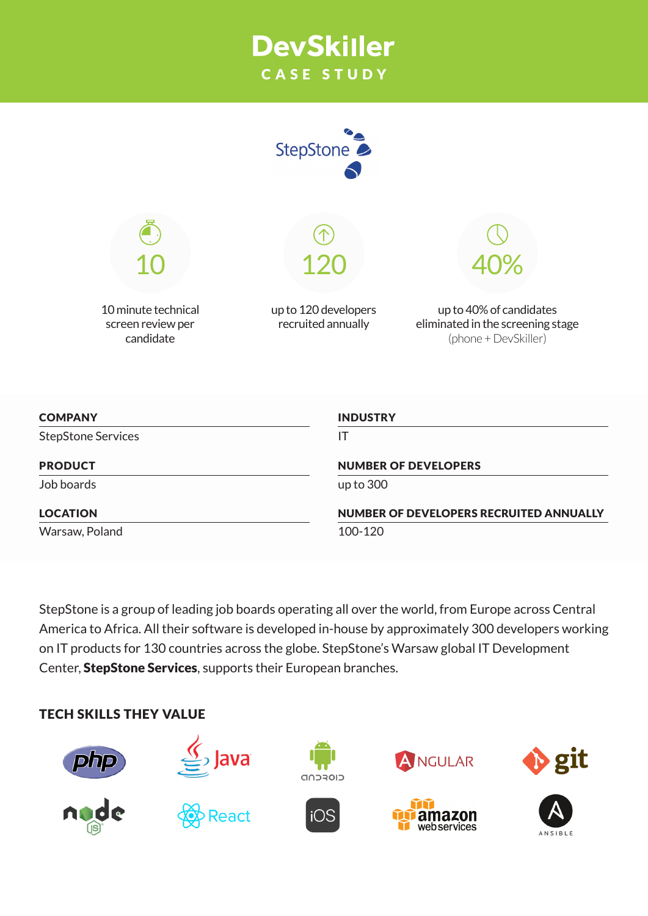# **DevSkiller** CASE STUDY



up to 300

Job boards

LOCATION Warsaw, Poland NUMBER OF DEVELOPERS RECRUITED ANNUALLY 100-120

StepStone is a group of leading job boards operating all over the world, from Europe across Central America to Africa. All their software is developed in-house by approximately 300 developers working on IT products for 130 countries across the globe. StepStone's Warsaw global IT Development Center, StepStone Services, supports their European branches.

### TECH SKILLS THEY VALUE

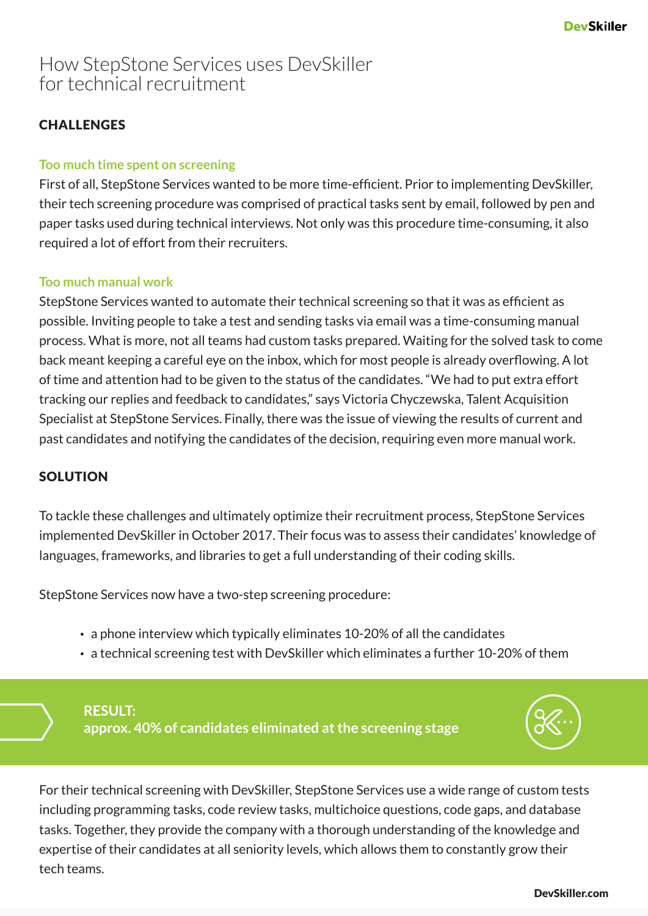## How StepStone Services uses DevSkiller for technical recruitment

### **CHALLENGES**

#### **Too much time spent on screening**

First of all, StepStone Services wanted to be more time-efficient. Prior to implementing DevSkiller, their tech screening procedure was comprised of practical tasks sent by email, followed by pen and paper tasks used during technical interviews. Not only was this procedure time-consuming, it also required a lot of effort from their recruiters.

#### **Too much manual work**

StepStone Services wanted to automate their technical screening so that it was as efficient as possible. Inviting people to take a test and sending tasks via email was a time-consuming manual process. What is more, not all teams had custom tasks prepared. Waiting for the solved task to come back meant keeping a careful eye on the inbox, which for most people is already overflowing. A lot of time and attention had to be given to the status of the candidates. "We had to put extra effort tracking our replies and feedback to candidates," says Victoria Chyczewska, Talent Acquisition Specialist at StepStone Services. Finally, there was the issue of viewing the results of current and past candidates and notifying the candidates of the decision, requiring even more manual work.

#### **SOLUTION**

To tackle these challenges and ultimately optimize their recruitment process, StepStone Services implemented DevSkiller in October 2017. Their focus was to assess their candidates' knowledge of languages, frameworks, and libraries to get a full understanding of their coding skills.

StepStone Services now have a two-step screening procedure:

- a phone interview which typically eliminates 10-20% of all the candidates
- a technical screening test with DevSkiller which eliminates a further 10-20% of them





For their technical screening with DevSkiller, StepStone Services use a wide range of custom tests including programming tasks, code review tasks, multichoice questions, code gaps, and database tasks. Together, they provide the company with a thorough understanding of the knowledge and expertise of their candidates at all seniority levels, which allows them to constantly grow their tech teams.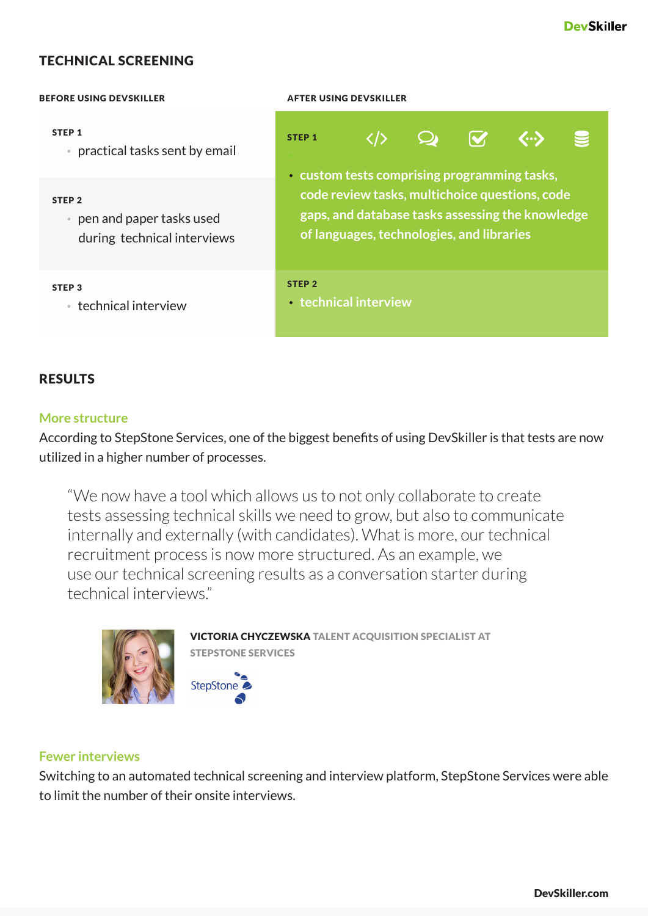#### TECHNICAL SCREENING

#### BEFORE USING DEVSKILLER AFTER USING DEVSKILLER STEP 1  $\langle \rangle$ STEP 1  $\mathbf{\Omega}$  $\overline{\mathbf{V}}$ く・・・) • practical tasks sent by email • **custom tests comprising programming tasks, code review tasks, multichoice questions, code**  STEP<sub>2</sub> **gaps, and database tasks assessing the knowledge**  • pen and paper tasks used **of languages, technologies, and libraries**  during technical interviews STEP 2 STEP 3 • **technical interview** • technical interview

#### RESULTS

#### **More structure**

According to StepStone Services, one of the biggest benefits of using DevSkiller is that tests are now utilized in a higher number of processes.

"We now have a tool which allows us to not only collaborate to create tests assessing technical skills we need to grow, but also to communicate internally and externally (with candidates). What is more, our technical recruitment process is now more structured. As an example, we use our technical screening results as a conversation starter during technical interviews."



VICTORIA CHYCZEWSKA TALENT ACQUISITION SPECIALIST AT STEPSTONE SERVICES



#### **Fewer interviews**

Switching to an automated technical screening and interview platform, StepStone Services were able to limit the number of their onsite interviews.